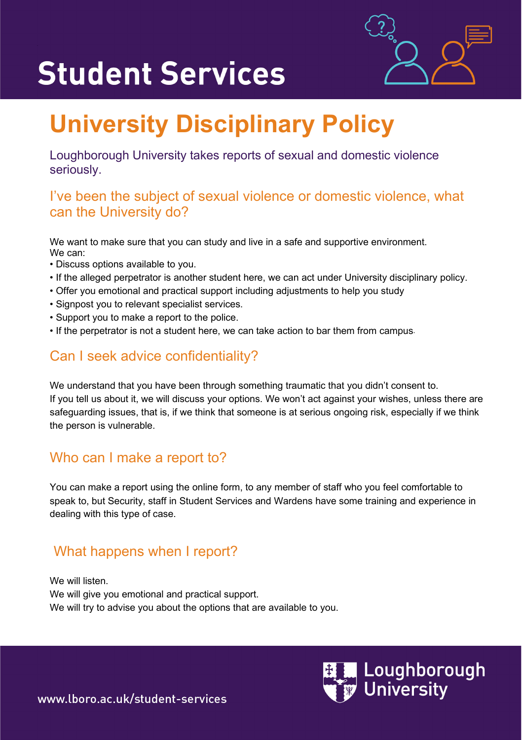# **Student Services**



# **University Disciplinary Policy**

Loughborough University takes reports of sexual and domestic violence seriously.

#### I've been the subject of sexual violence or domestic violence, what can the University do?

We want to make sure that you can study and live in a safe and supportive environment. We can:

- Discuss options available to you.
- If the alleged perpetrator is another student here, we can act under University disciplinary policy.
- Offer you emotional and practical support including adjustments to help you study
- Signpost you to relevant specialist services.
- Support you to make a report to the police.
- If the perpetrator is not a student here, we can take action to bar them from campus.

## Can I seek advice confidentiality?

We understand that you have been through something traumatic that you didn't consent to. If you tell us about it, we will discuss your options. We won't act against your wishes, unless there are safeguarding issues, that is, if we think that someone is at serious ongoing risk, especially if we think the person is vulnerable.

### Who can I make a report to?

You can make a report using the online form, to any member of staff who you feel comfortable to speak to, but Security, staff in Student Services and Wardens have some training and experience in dealing with this type of case.

### What happens when I report?

We will listen. We will give you emotional and practical support. We will try to advise you about the options that are available to you.



www.lboro.ac.uk/student-services